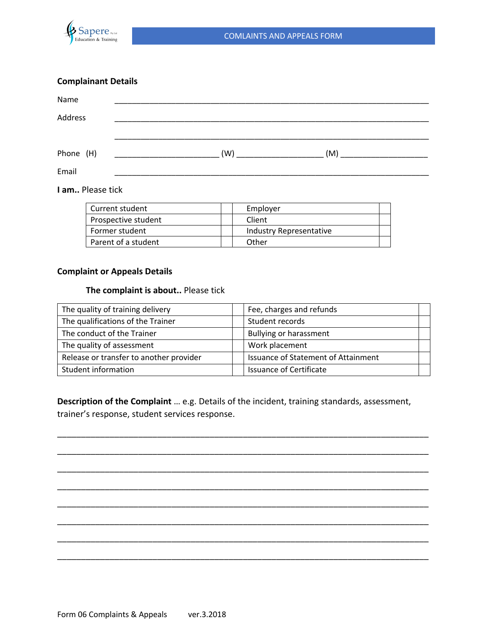

# **Complainant Details**

| Name      |                                                            |
|-----------|------------------------------------------------------------|
| Address   |                                                            |
|           |                                                            |
| Phone (H) | (W)<br>(M)<br>the control of the control of the control of |
| Email     |                                                            |

**I am..** Please tick

| Current student     | Employer                |
|---------------------|-------------------------|
| Prospective student | Client                  |
| Former student      | Industry Representative |
| Parent of a student | Other                   |

### **Complaint or Appeals Details**

# **The complaint is about..** Please tick

| The quality of training delivery        | Fee, charges and refunds            |
|-----------------------------------------|-------------------------------------|
| The qualifications of the Trainer       | Student records                     |
| The conduct of the Trainer              | <b>Bullying or harassment</b>       |
| The quality of assessment               | Work placement                      |
| Release or transfer to another provider | Issuance of Statement of Attainment |
| Student information                     | <b>Issuance of Certificate</b>      |

**Description of the Complaint** … e.g. Details of the incident, training standards, assessment, trainer's response, student services response.

\_\_\_\_\_\_\_\_\_\_\_\_\_\_\_\_\_\_\_\_\_\_\_\_\_\_\_\_\_\_\_\_\_\_\_\_\_\_\_\_\_\_\_\_\_\_\_\_\_\_\_\_\_\_\_\_\_\_\_\_\_\_\_\_\_\_\_\_\_\_\_\_\_\_\_\_\_\_

\_\_\_\_\_\_\_\_\_\_\_\_\_\_\_\_\_\_\_\_\_\_\_\_\_\_\_\_\_\_\_\_\_\_\_\_\_\_\_\_\_\_\_\_\_\_\_\_\_\_\_\_\_\_\_\_\_\_\_\_\_\_\_\_\_\_\_\_\_\_\_\_\_\_\_\_\_\_

\_\_\_\_\_\_\_\_\_\_\_\_\_\_\_\_\_\_\_\_\_\_\_\_\_\_\_\_\_\_\_\_\_\_\_\_\_\_\_\_\_\_\_\_\_\_\_\_\_\_\_\_\_\_\_\_\_\_\_\_\_\_\_\_\_\_\_\_\_\_\_\_\_\_\_\_\_\_

\_\_\_\_\_\_\_\_\_\_\_\_\_\_\_\_\_\_\_\_\_\_\_\_\_\_\_\_\_\_\_\_\_\_\_\_\_\_\_\_\_\_\_\_\_\_\_\_\_\_\_\_\_\_\_\_\_\_\_\_\_\_\_\_\_\_\_\_\_\_\_\_\_\_\_\_\_\_

\_\_\_\_\_\_\_\_\_\_\_\_\_\_\_\_\_\_\_\_\_\_\_\_\_\_\_\_\_\_\_\_\_\_\_\_\_\_\_\_\_\_\_\_\_\_\_\_\_\_\_\_\_\_\_\_\_\_\_\_\_\_\_\_\_\_\_\_\_\_\_\_\_\_\_\_\_\_

\_\_\_\_\_\_\_\_\_\_\_\_\_\_\_\_\_\_\_\_\_\_\_\_\_\_\_\_\_\_\_\_\_\_\_\_\_\_\_\_\_\_\_\_\_\_\_\_\_\_\_\_\_\_\_\_\_\_\_\_\_\_\_\_\_\_\_\_\_\_\_\_\_\_\_\_\_\_

\_\_\_\_\_\_\_\_\_\_\_\_\_\_\_\_\_\_\_\_\_\_\_\_\_\_\_\_\_\_\_\_\_\_\_\_\_\_\_\_\_\_\_\_\_\_\_\_\_\_\_\_\_\_\_\_\_\_\_\_\_\_\_\_\_\_\_\_\_\_\_\_\_\_\_\_\_\_

\_\_\_\_\_\_\_\_\_\_\_\_\_\_\_\_\_\_\_\_\_\_\_\_\_\_\_\_\_\_\_\_\_\_\_\_\_\_\_\_\_\_\_\_\_\_\_\_\_\_\_\_\_\_\_\_\_\_\_\_\_\_\_\_\_\_\_\_\_\_\_\_\_\_\_\_\_\_